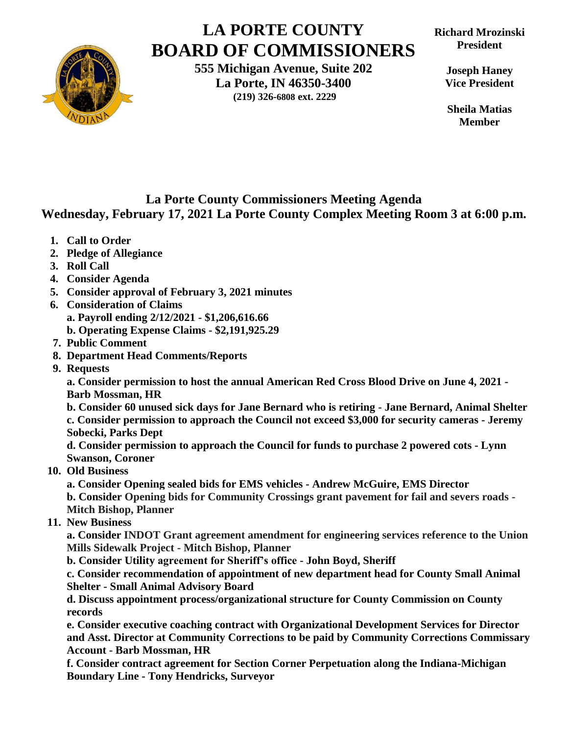

## **LA PORTE COUNTY BOARD OF COMMISSIONERS**

**555 Michigan Avenue, Suite 202 La Porte, IN 46350-3400 (219) 326-6808 ext. 2229**

**Joseph Haney Vice President**

**Sheila Matias Member**

## **La Porte County Commissioners Meeting Agenda Wednesday, February 17, 2021 La Porte County Complex Meeting Room 3 at 6:00 p.m.**

- **1. Call to Order**
- **2. Pledge of Allegiance**
- **3. Roll Call**
- **4. Consider Agenda**
- **5. Consider approval of February 3, 2021 minutes**
- **6. Consideration of Claims**

**a. Payroll ending 2/12/2021 - \$1,206,616.66**

- **b. Operating Expense Claims - \$2,191,925.29**
- **7. Public Comment**
- **8. Department Head Comments/Reports**
- **9. Requests**

**a. Consider permission to host the annual American Red Cross Blood Drive on June 4, 2021 - Barb Mossman, HR**

**b. Consider 60 unused sick days for Jane Bernard who is retiring - Jane Bernard, Animal Shelter c. Consider permission to approach the Council not exceed \$3,000 for security cameras - Jeremy Sobecki, Parks Dept** 

**d. Consider permission to approach the Council for funds to purchase 2 powered cots - Lynn Swanson, Coroner** 

 **10. Old Business**

**a. Consider Opening sealed bids for EMS vehicles - Andrew McGuire, EMS Director b. Consider Opening bids for Community Crossings grant pavement for fail and severs roads - Mitch Bishop, Planner**

 **11. New Business** 

**a. Consider INDOT Grant agreement amendment for engineering services reference to the Union Mills Sidewalk Project - Mitch Bishop, Planner**

**b. Consider Utility agreement for Sheriff's office - John Boyd, Sheriff**

**c. Consider recommendation of appointment of new department head for County Small Animal Shelter - Small Animal Advisory Board**

**d. Discuss appointment process/organizational structure for County Commission on County records**

**e. Consider executive coaching contract with Organizational Development Services for Director and Asst. Director at Community Corrections to be paid by Community Corrections Commissary Account - Barb Mossman, HR**

**f. Consider contract agreement for Section Corner Perpetuation along the Indiana-Michigan Boundary Line - Tony Hendricks, Surveyor**